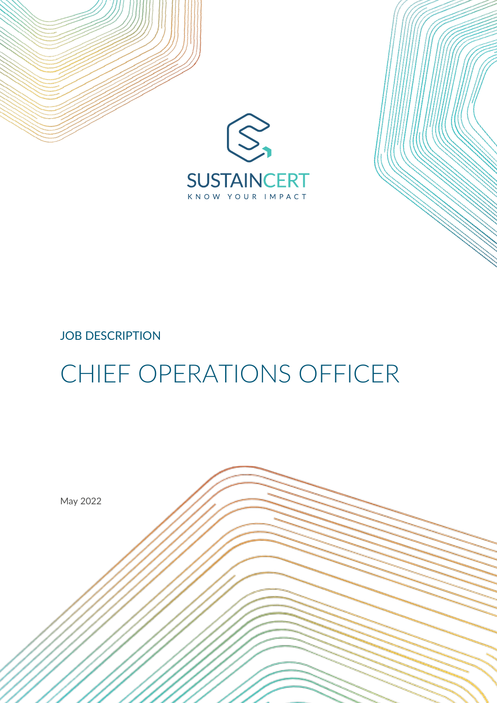



# JOB DESCRIPTION

# CHIEF OPERATIONS OFFICER

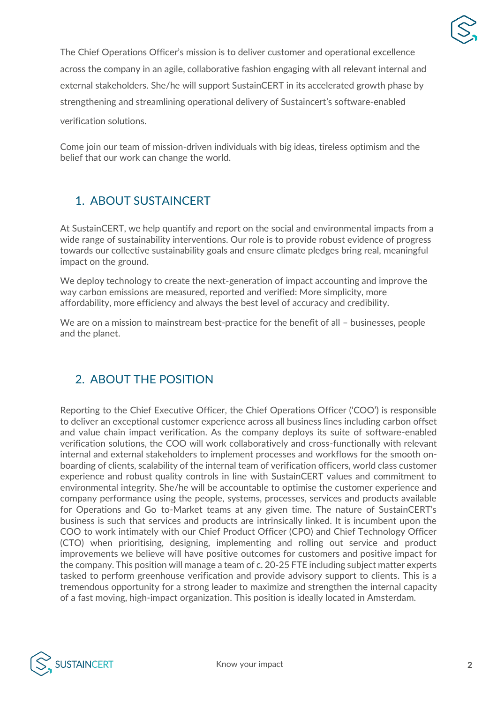

The Chief Operations Officer's mission is to deliver customer and operational excellence across the company in an agile, collaborative fashion engaging with all relevant internal and external stakeholders. She/he will support SustainCERT in its accelerated growth phase by strengthening and streamlining operational delivery of Sustaincert's software-enabled

verification solutions.

Come join our team of mission-driven individuals with big ideas, tireless optimism and the belief that our work can change the world.

# 1. ABOUT SUSTAINCERT

At SustainCERT, we help quantify and report on the social and environmental impacts from a wide range of sustainability interventions. Our role is to provide robust evidence of progress towards our collective sustainability goals and ensure climate pledges bring real, meaningful impact on the ground.

We deploy technology to create the next-generation of impact accounting and improve the way carbon emissions are measured, reported and verified: More simplicity, more affordability, more efficiency and always the best level of accuracy and credibility.

We are on a mission to mainstream best-practice for the benefit of all – businesses, people and the planet.

# 2. ABOUT THE POSITION

Reporting to the Chief Executive Officer, the Chief Operations Officer ('COO') is responsible to deliver an exceptional customer experience across all business lines including carbon offset and value chain impact verification. As the company deploys its suite of software-enabled verification solutions, the COO will work collaboratively and cross-functionally with relevant internal and external stakeholders to implement processes and workflows for the smooth onboarding of clients, scalability of the internal team of verification officers, world class customer experience and robust quality controls in line with SustainCERT values and commitment to environmental integrity. She/he will be accountable to optimise the customer experience and company performance using the people, systems, processes, services and products available for Operations and Go to-Market teams at any given time. The nature of SustainCERT's business is such that services and products are intrinsically linked. It is incumbent upon the COO to work intimately with our Chief Product Officer (CPO) and Chief Technology Officer (CTO) when prioritising, designing, implementing and rolling out service and product improvements we believe will have positive outcomes for customers and positive impact for the company. This position will manage a team of c. 20-25 FTE including subject matter experts tasked to perform greenhouse verification and provide advisory support to clients. This is a tremendous opportunity for a strong leader to maximize and strengthen the internal capacity of a fast moving, high-impact organization. This position is ideally located in Amsterdam.

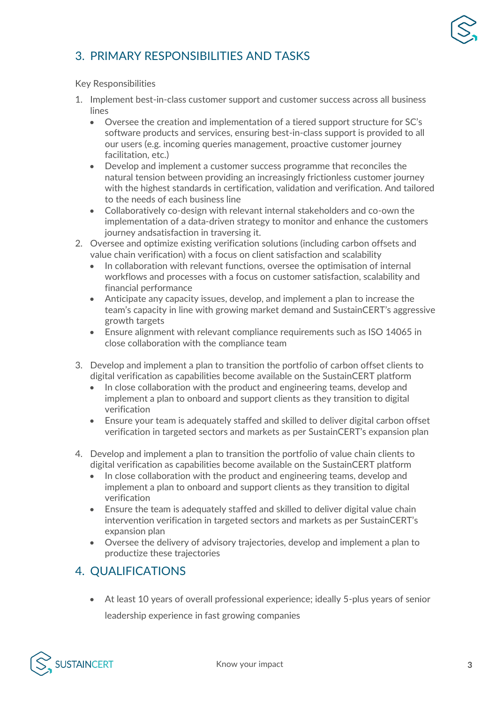

### 3. PRIMARY RESPONSIBILITIES AND TASKS

#### Key Responsibilities

- 1. Implement best-in-class customer support and customer success across all business lines
	- Oversee the creation and implementation of a tiered support structure for SC's software products and services, ensuring best-in-class support is provided to all our users (e.g. incoming queries management, proactive customer journey facilitation, etc.)
	- Develop and implement a customer success programme that reconciles the natural tension between providing an increasingly frictionless customer journey with the highest standards in certification, validation and verification. And tailored to the needs of each business line
	- Collaboratively co-design with relevant internal stakeholders and co-own the implementation of a data-driven strategy to monitor and enhance the customers journey andsatisfaction in traversing it.
- 2. Oversee and optimize existing verification solutions (including carbon offsets and value chain verification) with a focus on client satisfaction and scalability
	- In collaboration with relevant functions, oversee the optimisation of internal workflows and processes with a focus on customer satisfaction, scalability and financial performance
	- Anticipate any capacity issues, develop, and implement a plan to increase the team's capacity in line with growing market demand and SustainCERT's aggressive growth targets
	- Ensure alignment with relevant compliance requirements such as ISO 14065 in close collaboration with the compliance team
- 3. Develop and implement a plan to transition the portfolio of carbon offset clients to digital verification as capabilities become available on the SustainCERT platform
	- In close collaboration with the product and engineering teams, develop and implement a plan to onboard and support clients as they transition to digital verification
	- Ensure your team is adequately staffed and skilled to deliver digital carbon offset verification in targeted sectors and markets as per SustainCERT's expansion plan
- 4. Develop and implement a plan to transition the portfolio of value chain clients to digital verification as capabilities become available on the SustainCERT platform
	- In close collaboration with the product and engineering teams, develop and implement a plan to onboard and support clients as they transition to digital verification
	- Ensure the team is adequately staffed and skilled to deliver digital value chain intervention verification in targeted sectors and markets as per SustainCERT's expansion plan
	- Oversee the delivery of advisory trajectories, develop and implement a plan to productize these trajectories

#### 4. QUALIFICATIONS

• At least 10 years of overall professional experience; ideally 5-plus years of senior leadership experience in fast growing companies